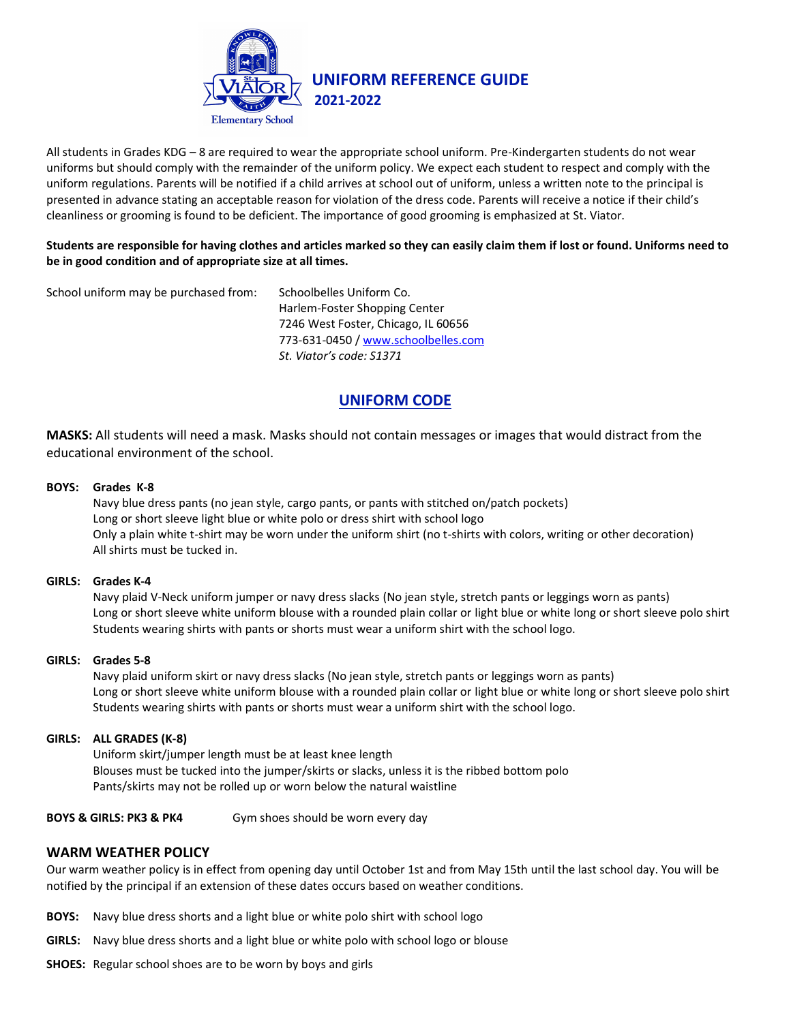

All students in Grades KDG – 8 are required to wear the appropriate school uniform. Pre-Kindergarten students do not wear uniforms but should comply with the remainder of the uniform policy. We expect each student to respect and comply with the uniform regulations. Parents will be notified if a child arrives at school out of uniform, unless a written note to the principal is presented in advance stating an acceptable reason for violation of the dress code. Parents will receive a notice if their child's cleanliness or grooming is found to be deficient. The importance of good grooming is emphasized at St. Viator.

### **Students are responsible for having clothes and articles marked so they can easily claim them if lost or found. Uniforms need to be in good condition and of appropriate size at all times.**

School uniform may be purchased from: Schoolbelles Uniform Co.

Harlem-Foster Shopping Center 7246 West Foster, Chicago, IL 60656 773-631-0450 / [www.schoolbelles.com](http://www.schoolbelles.com/) *St. Viator's code: S1371*

# **UNIFORM CODE**

**MASKS:** All students will need a mask. Masks should not contain messages or images that would distract from the educational environment of the school.

# **BOYS: Grades K-8**

Navy blue dress pants (no jean style, cargo pants, or pants with stitched on/patch pockets) Long or short sleeve light blue or white polo or dress shirt with school logo Only a plain white t-shirt may be worn under the uniform shirt (no t-shirts with colors, writing or other decoration) All shirts must be tucked in.

#### **GIRLS: Grades K-4**

Navy plaid V-Neck uniform jumper or navy dress slacks (No jean style, stretch pants or leggings worn as pants) Long or short sleeve white uniform blouse with a rounded plain collar or light blue or white long or short sleeve polo shirt Students wearing shirts with pants or shorts must wear a uniform shirt with the school logo.

#### **GIRLS: Grades 5-8**

Navy plaid uniform skirt or navy dress slacks (No jean style, stretch pants or leggings worn as pants) Long or short sleeve white uniform blouse with a rounded plain collar or light blue or white long or short sleeve polo shirt Students wearing shirts with pants or shorts must wear a uniform shirt with the school logo.

#### **GIRLS: ALL GRADES (K-8)**

Uniform skirt/jumper length must be at least knee length Blouses must be tucked into the jumper/skirts or slacks, unless it is the ribbed bottom polo Pants/skirts may not be rolled up or worn below the natural waistline

#### **BOYS & GIRLS: PK3 & PK4** Gym shoes should be worn every day

# **WARM WEATHER POLICY**

Our warm weather policy is in effect from opening day until October 1st and from May 15th until the last school day. You will be notified by the principal if an extension of these dates occurs based on weather conditions.

- **BOYS:** Navy blue dress shorts and a light blue or white polo shirt with school logo
- **GIRLS:** Navy blue dress shorts and a light blue or white polo with school logo or blouse
- **SHOES:** Regular school shoes are to be worn by boys and girls